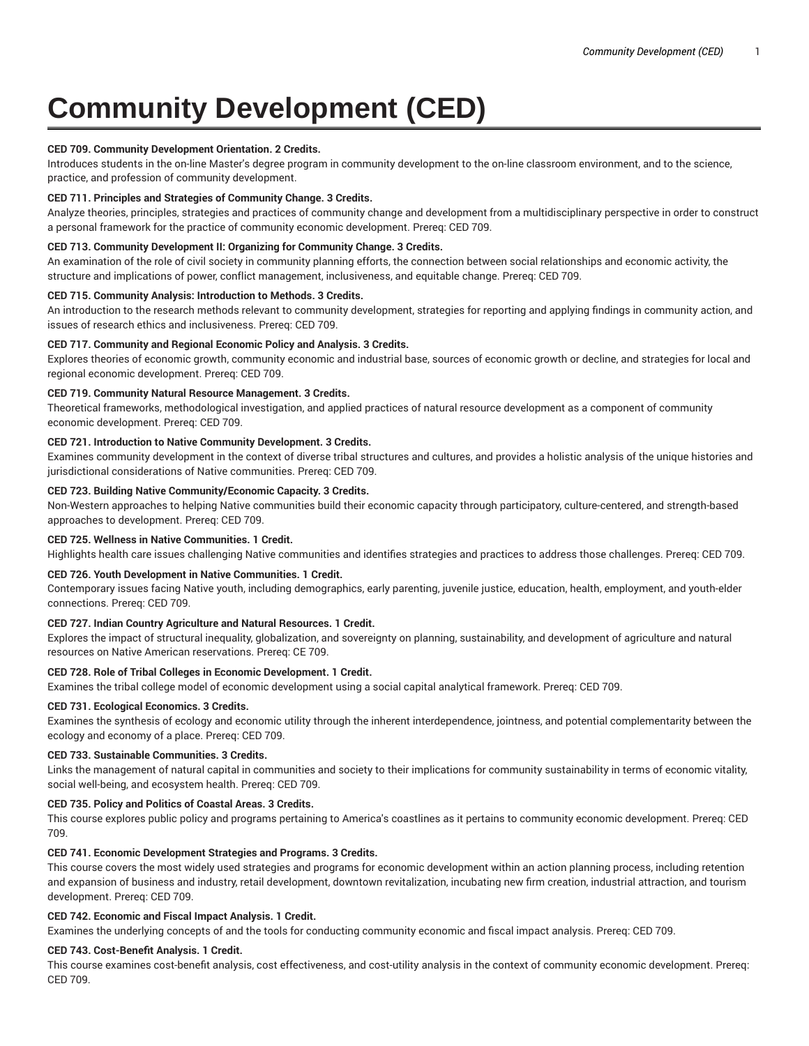# **Community Development (CED)**

# **CED 709. Community Development Orientation. 2 Credits.**

Introduces students in the on-line Master's degree program in community development to the on-line classroom environment, and to the science, practice, and profession of community development.

# **CED 711. Principles and Strategies of Community Change. 3 Credits.**

Analyze theories, principles, strategies and practices of community change and development from a multidisciplinary perspective in order to construct a personal framework for the practice of community economic development. Prereq: CED 709.

## **CED 713. Community Development II: Organizing for Community Change. 3 Credits.**

An examination of the role of civil society in community planning efforts, the connection between social relationships and economic activity, the structure and implications of power, conflict management, inclusiveness, and equitable change. Prereq: CED 709.

#### **CED 715. Community Analysis: Introduction to Methods. 3 Credits.**

An introduction to the research methods relevant to community development, strategies for reporting and applying findings in community action, and issues of research ethics and inclusiveness. Prereq: CED 709.

#### **CED 717. Community and Regional Economic Policy and Analysis. 3 Credits.**

Explores theories of economic growth, community economic and industrial base, sources of economic growth or decline, and strategies for local and regional economic development. Prereq: CED 709.

## **CED 719. Community Natural Resource Management. 3 Credits.**

Theoretical frameworks, methodological investigation, and applied practices of natural resource development as a component of community economic development. Prereq: CED 709.

## **CED 721. Introduction to Native Community Development. 3 Credits.**

Examines community development in the context of diverse tribal structures and cultures, and provides a holistic analysis of the unique histories and jurisdictional considerations of Native communities. Prereq: CED 709.

#### **CED 723. Building Native Community/Economic Capacity. 3 Credits.**

Non-Western approaches to helping Native communities build their economic capacity through participatory, culture-centered, and strength-based approaches to development. Prereq: CED 709.

# **CED 725. Wellness in Native Communities. 1 Credit.**

Highlights health care issues challenging Native communities and identifies strategies and practices to address those challenges. Prereq: CED 709.

# **CED 726. Youth Development in Native Communities. 1 Credit.**

Contemporary issues facing Native youth, including demographics, early parenting, juvenile justice, education, health, employment, and youth-elder connections. Prereq: CED 709.

# **CED 727. Indian Country Agriculture and Natural Resources. 1 Credit.**

Explores the impact of structural inequality, globalization, and sovereignty on planning, sustainability, and development of agriculture and natural resources on Native American reservations. Prereq: CE 709.

# **CED 728. Role of Tribal Colleges in Economic Development. 1 Credit.**

Examines the tribal college model of economic development using a social capital analytical framework. Prereq: CED 709.

#### **CED 731. Ecological Economics. 3 Credits.**

Examines the synthesis of ecology and economic utility through the inherent interdependence, jointness, and potential complementarity between the ecology and economy of a place. Prereq: CED 709.

#### **CED 733. Sustainable Communities. 3 Credits.**

Links the management of natural capital in communities and society to their implications for community sustainability in terms of economic vitality, social well-being, and ecosystem health. Prereq: CED 709.

#### **CED 735. Policy and Politics of Coastal Areas. 3 Credits.**

This course explores public policy and programs pertaining to America's coastlines as it pertains to community economic development. Prereq: CED 709.

# **CED 741. Economic Development Strategies and Programs. 3 Credits.**

This course covers the most widely used strategies and programs for economic development within an action planning process, including retention and expansion of business and industry, retail development, downtown revitalization, incubating new firm creation, industrial attraction, and tourism development. Prereq: CED 709.

# **CED 742. Economic and Fiscal Impact Analysis. 1 Credit.**

Examines the underlying concepts of and the tools for conducting community economic and fiscal impact analysis. Prereq: CED 709.

#### **CED 743. Cost-Benefit Analysis. 1 Credit.**

This course examines cost-benefit analysis, cost effectiveness, and cost-utility analysis in the context of community economic development. Prereq: CED 709.